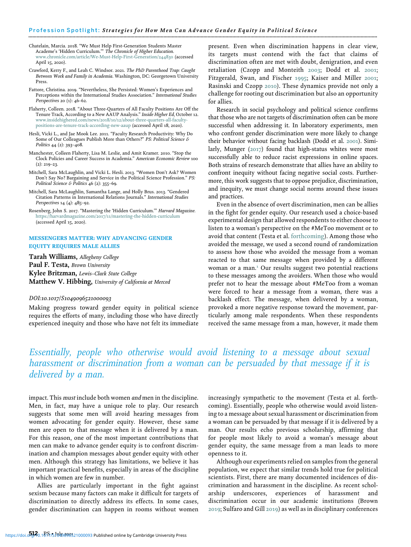Chatelain, Marcia. 2018. "We Must Help First-Generation Students Master<br>Academe's 'Hidden Curriculum.'" *The Chronicle of Higher Education.*<br>[www.chronicle.com/article/We-Must-Help-First-Generation/244830](http://www.chronicle.com/article/We-Must-Help-First-Generation/244830) (accessed April 15, 2020).

Crawford, Kerry F., and Leah C. Windsor. 2021. The PhD Parenthood Trap: Caught Between Work and Family in Academia. Washington, DC: Georgetown University Press.

Fattore, Christina. 2019. "Nevertheless, She Persisted: Women's Experiences and Perceptions within the International Studies Association." International Studies Perspectives 20 (1): 46–62.

Flaherty, Colleen. 2018. "About Three-Quarters of All Faculty Positions Are Off the Tenure Track, According to a New AAUP Analysis." Inside Higher Ed, October 12. [www.insidehighered.com/news/2018/10/12/about-three-quarters-all-faculty](http://www.insidehighered.com/news/2018/10/12/about-three-quarters-all-faculty-positions-are-tenure-track-according-new-aaup)[positions-are-tenure-track-according-new-aaup](http://www.insidehighered.com/news/2018/10/12/about-three-quarters-all-faculty-positions-are-tenure-track-according-new-aaup) (accessed April 18, 2020).

Hesli, Vicki L., and Jae Mook Lee. 2011. "Faculty Research Productivity: Why Do Some of Our Colleagues Publish More than Others?" PS: Political Science & Politics 44 (2): 393–408.

Manchester, Colleen Flaherty, Lisa M. Leslie, and Amit Kramer. 2010. "Stop the Clock Policies and Career Success in Academia." American Economic Review 100  $(2): 219 - 23.$ 

Mitchell, Sara McLaughlin, and Vicki L. Hesli. 2013. "Women Don't Ask? Women Don't Say No? Bargaining and Service in the Political Science Profession." PS: Political Science & Politics 46 (2): 355–69.

Mitchell, Sara McLaughlin, Samantha Lange, and Holly Brus. 2013. "Gendered Citation Patterns in International Relations Journals." International Studies Perspectives 14 (4): 485–92.

Rosenberg, John S. 2017. "Mastering the 'Hidden Curriculum.'" Harvard Magazine. <https://harvardmagazine.com/2017/11/mastering-the-hidden-curriculum> (accessed April 15, 2020).

### MESSENGERS MATTER: WHY ADVANCING GENDER EQUITY REQUIRES MALE ALLIES

Tarah Williams, Allegheny College Paul F. Testa, Brown University Kylee Britzman, Lewis–Clark State College Matthew V. Hibbing, University of California at Merced

#### DOI:10.1017/S1049096521000093

Making progress toward gender equity in political science requires the efforts of many, including those who have directly experienced inequity and those who have not felt its immediate present. Even when discrimination happens in clear view, its targets must contend with the fact that claims of discrimination often are met with doubt, denigration, and even retaliation (Czopp and Monteith 2003; Dodd et al. 2001; Fitzgerald, Swan, and Fischer 1995; Kaiser and Miller 2001; Rasinski and Czopp 2010). These dynamics provide not only a challenge for rooting out discrimination but also an opportunity for allies.

Research in social psychology and political science confirms that those who are not targets of discrimination often can be more successful when addressing it. In laboratory experiments, men who confront gender discrimination were more likely to change their behavior without facing backlash (Dodd et al. 2001). Similarly, Munger (2017) found that high-status whites were most successfully able to reduce racist expressions in online spaces. Both strains of research demonstrate that allies have an ability to confront inequity without facing negative social costs. Furthermore, this work suggests that to oppose prejudice, discrimination, and inequity, we must change social norms around these issues and practices.

Even in the absence of overt discrimination, men can be allies in the fight for gender equity. Our research used a choice-based experimental design that allowed respondents to either choose to listen to a woman's perspective on the #MeToo movement or to avoid that content (Testa et al. forthcoming). Among those who avoided the message, we used a second round of randomization to assess how those who avoided the message from a woman reacted to that same message when provided by a different woman or a man.<sup>1</sup> Our results suggest two potential reactions to these messages among the avoiders. When those who would prefer not to hear the message about #MeToo from a woman were forced to hear a message from a woman, there was a backlash effect. The message, when delivered by a woman, provoked a more negative response toward the movement, particularly among male respondents. When these respondents received the same message from a man, however, it made them

# Essentially, people who otherwise would avoid listening to a message about sexual harassment or discrimination from a woman can be persuaded by that message if it is delivered by a man.

impact. This must include both women and men in the discipline. Men, in fact, may have a unique role to play. Our research suggests that some men will avoid hearing messages from women advocating for gender equity. However, these same men are open to that message when it is delivered by a man. For this reason, one of the most important contributions that men can make to advance gender equity is to confront discrimination and champion messages about gender equity with other men. Although this strategy has limitations, we believe it has important practical benefits, especially in areas of the discipline in which women are few in number.

Allies are particularly important in the fight against sexism because many factors can make it difficult for targets of discrimination to directly address its effects. In some cases, gender discrimination can happen in rooms without women increasingly sympathetic to the movement (Testa et al. forthcoming). Essentially, people who otherwise would avoid listening to a message about sexual harassment or discrimination from a woman can be persuaded by that message if it is delivered by a man. Our results echo previous scholarship, affirming that for people most likely to avoid a woman's message about gender equity, the same message from a man leads to more openness to it.

Although our experiments relied on samples from the general population, we expect that similar trends hold true for political scientists. First, there are many documented incidences of discrimination and harassment in the discipline. As recent scholarship underscores, experiences of harassment and discrimination occur in our academic institutions (Brown 2019; Sulfaro and Gill 2019) as well as in disciplinary conferences